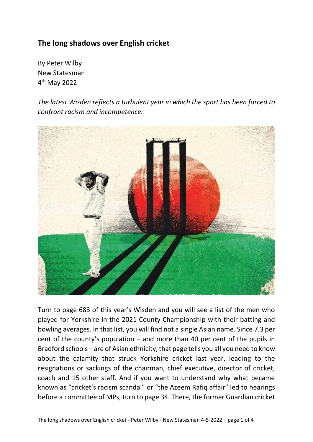## **The long shadows over English cricket**

By Peter Wilby New Statesman 4 th May 2022

*The latest Wisden reflects a turbulent year in which the sport has been forced to confront racism and incompetence.*



Turn to page 683 of this year's Wisden and you will see a list of the men who played for Yorkshire in the 2021 County Championship with their batting and bowling averages. In that list, you will find not a single Asian name. Since 7.3 per cent of the county's population – and more than 40 per cent of the pupils in Bradford schools – are of Asian ethnicity, that page tells you all you need to know about the calamity that struck Yorkshire cricket last year, leading to the resignations or sackings of the chairman, chief executive, director of cricket, coach and 15 other staff. And if you want to understand why what became known as "cricket's racism scandal" or "the Azeem Rafiq affair" led to hearings before a committee of MPs, turn to page 34. There, the former Guardian cricket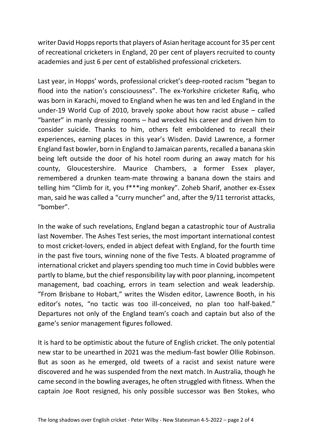writer David Hopps reports that players of Asian heritage account for 35 per cent of recreational cricketers in England, 20 per cent of players recruited to county academies and just 6 per cent of established professional cricketers.

Last year, in Hopps' words, professional cricket's deep-rooted racism "began to flood into the nation's consciousness". The ex-Yorkshire cricketer Rafiq, who was born in Karachi, moved to England when he was ten and led England in the under-19 World Cup of 2010, bravely spoke about how racist abuse – called "banter" in manly dressing rooms – had wrecked his career and driven him to consider suicide. Thanks to him, others felt emboldened to recall their experiences, earning places in this year's Wisden. David Lawrence, a former England fast bowler, born in England to Jamaican parents, recalled a banana skin being left outside the door of his hotel room during an away match for his county, Gloucestershire. Maurice Chambers, a former Essex player, remembered a drunken team-mate throwing a banana down the stairs and telling him "Climb for it, you f\*\*\*ing monkey". Zoheb Sharif, another ex-Essex man, said he was called a "curry muncher" and, after the 9/11 terrorist attacks, "bomber".

In the wake of such revelations, England began a catastrophic tour of Australia last November. The Ashes Test series, the most important international contest to most cricket-lovers, ended in abject defeat with England, for the fourth time in the past five tours, winning none of the five Tests. A bloated programme of international cricket and players spending too much time in Covid bubbles were partly to blame, but the chief responsibility lay with poor planning, incompetent management, bad coaching, errors in team selection and weak leadership. "From Brisbane to Hobart," writes the Wisden editor, Lawrence Booth, in his editor's notes, "no tactic was too ill-conceived, no plan too half-baked." Departures not only of the England team's coach and captain but also of the game's senior management figures followed.

It is hard to be optimistic about the future of English cricket. The only potential new star to be unearthed in 2021 was the medium-fast bowler Ollie Robinson. But as soon as he emerged, old tweets of a racist and sexist nature were discovered and he was suspended from the next match. In Australia, though he came second in the bowling averages, he often struggled with fitness. When the captain Joe Root resigned, his only possible successor was Ben Stokes, who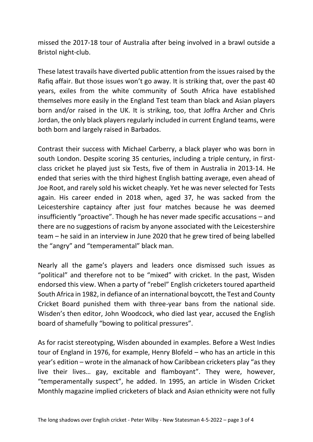missed the 2017-18 tour of Australia after being involved in a brawl outside a Bristol night-club.

These latest travails have diverted public attention from the issues raised by the Rafiq affair. But those issues won't go away. It is striking that, over the past 40 years, exiles from the white community of South Africa have established themselves more easily in the England Test team than black and Asian players born and/or raised in the UK. It is striking, too, that Joffra Archer and Chris Jordan, the only black players regularly included in current England teams, were both born and largely raised in Barbados.

Contrast their success with Michael Carberry, a black player who was born in south London. Despite scoring 35 centuries, including a triple century, in firstclass cricket he played just six Tests, five of them in Australia in 2013-14. He ended that series with the third highest English batting average, even ahead of Joe Root, and rarely sold his wicket cheaply. Yet he was never selected for Tests again. His career ended in 2018 when, aged 37, he was sacked from the Leicestershire captaincy after just four matches because he was deemed insufficiently "proactive". Though he has never made specific accusations – and there are no suggestions of racism by anyone associated with the Leicestershire team – he said in an interview in June 2020 that he grew tired of being labelled the "angry" and "temperamental" black man.

Nearly all the game's players and leaders once dismissed such issues as "political" and therefore not to be "mixed" with cricket. In the past, Wisden endorsed this view. When a party of "rebel" English cricketers toured apartheid South Africa in 1982, in defiance of an international boycott, the Test and County Cricket Board punished them with three-year bans from the national side. Wisden's then editor, John Woodcock, who died last year, accused the English board of shamefully "bowing to political pressures".

As for racist stereotyping, Wisden abounded in examples. Before a West Indies tour of England in 1976, for example, Henry Blofeld – who has an article in this year's edition – wrote in the almanack of how Caribbean cricketers play "as they live their lives… gay, excitable and flamboyant". They were, however, "temperamentally suspect", he added. In 1995, an article in Wisden Cricket Monthly magazine implied cricketers of black and Asian ethnicity were not fully